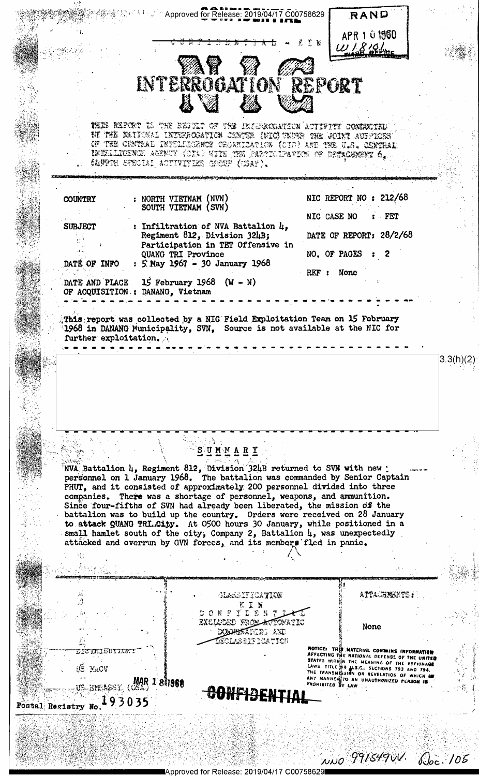

Approved for Release: 2019/04/17 C0075862